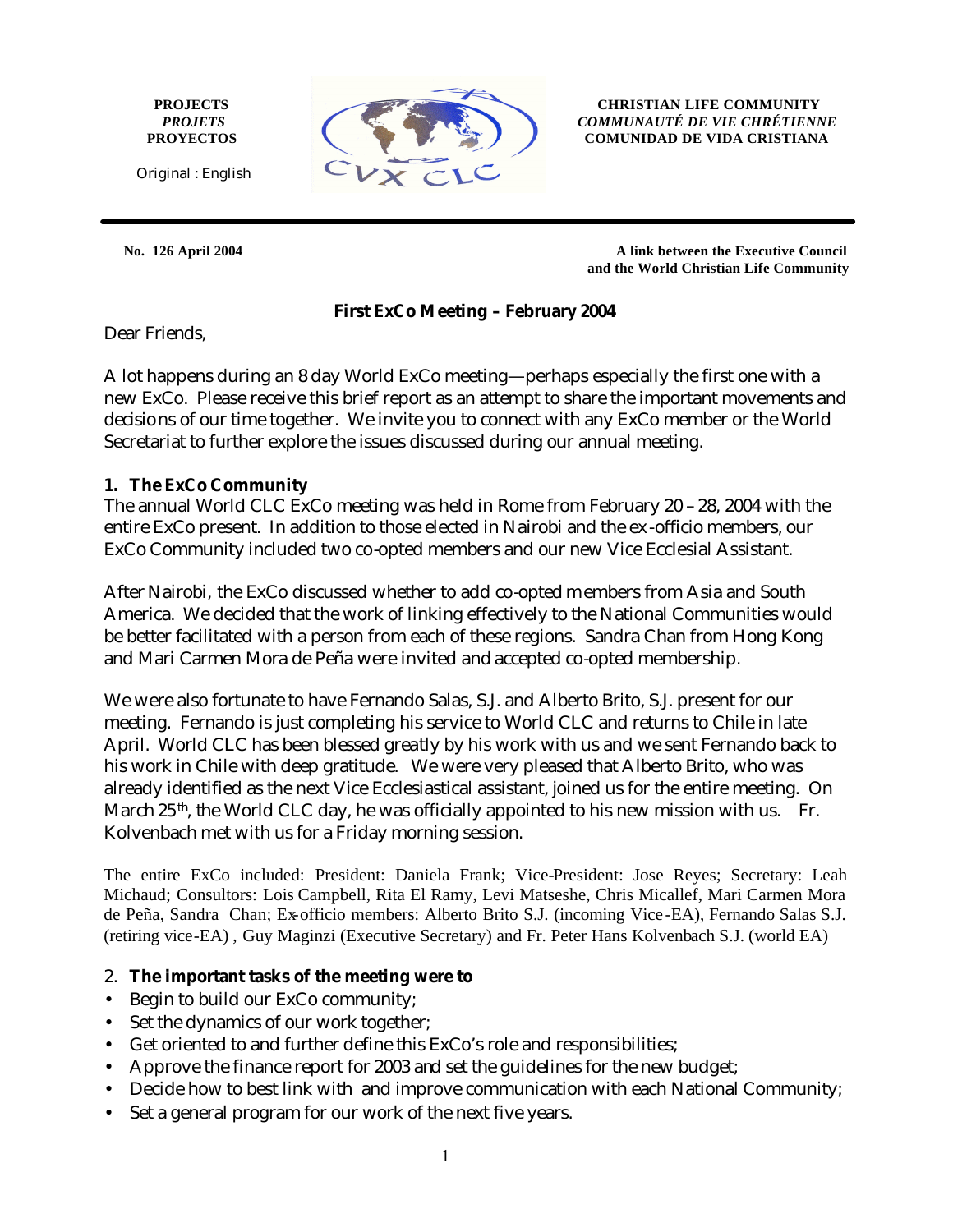**PROJECTS** *PROJETS* **PROYECTOS**



**CHRISTIAN LIFE COMMUNITY** *COMMUNAUTÉ DE VIE CHRÉTIENNE* **COMUNIDAD DE VIDA CRISTIANA**

**No. 126 April 2004****A link between the Executive Council and the World Christian Life Community**

#### **First ExCo Meeting – February 2004**

Dear Friends,

A lot happens during an 8 day World ExCo meeting—perhaps especially the first one with a new ExCo. Please receive this brief report as an attempt to share the important movements and decisions of our time together. We invite you to connect with any ExCo member or the World Secretariat to further explore the issues discussed during our annual meeting.

#### **1. The ExCo Community**

The annual World CLC ExCo meeting was held in Rome from February 20 – 28, 2004 with the entire ExCo present. In addition to those elected in Nairobi and the ex -officio members, our ExCo Community included two co-opted members and our new Vice Ecclesial Assistant.

After Nairobi, the ExCo discussed whether to add co-opted members from Asia and South America. We decided that the work of linking effectively to the National Communities would be better facilitated with a person from each of these regions. Sandra Chan from Hong Kong and Mari Carmen Mora de Peña were invited and accepted co-opted membership.

We were also fortunate to have Fernando Salas, S.J. and Alberto Brito, S.J. present for our meeting. Fernando is just completing his service to World CLC and returns to Chile in late April. World CLC has been blessed greatly by his work with us and we sent Fernando back to his work in Chile with deep gratitude. We were very pleased that Alberto Brito, who was already identified as the next Vice Ecclesiastical assistant, joined us for the entire meeting. On March  $25<sup>th</sup>$ , the World CLC day, he was officially appointed to his new mission with us. Fr. Kolvenbach met with us for a Friday morning session.

The entire ExCo included: President: Daniela Frank; Vice-President: Jose Reyes; Secretary: Leah Michaud; Consultors: Lois Campbell, Rita El Ramy, Levi Matseshe, Chris Micallef, Mari Carmen Mora de Peña, Sandra Chan; Ex-officio members: Alberto Brito S.J. (incoming Vice -EA), Fernando Salas S.J. (retiring vice-EA) , Guy Maginzi (Executive Secretary) and Fr. Peter Hans Kolvenbach S.J. (world EA)

## 2. **The important tasks of the meeting were to**

- Begin to build our ExCo community;
- Set the dynamics of our work together;
- Get oriented to and further define this ExCo's role and responsibilities;
- Approve the finance report for 2003 and set the guidelines for the new budget;
- Decide how to best link with and improve communication with each National Community;
- Set a general program for our work of the next five years.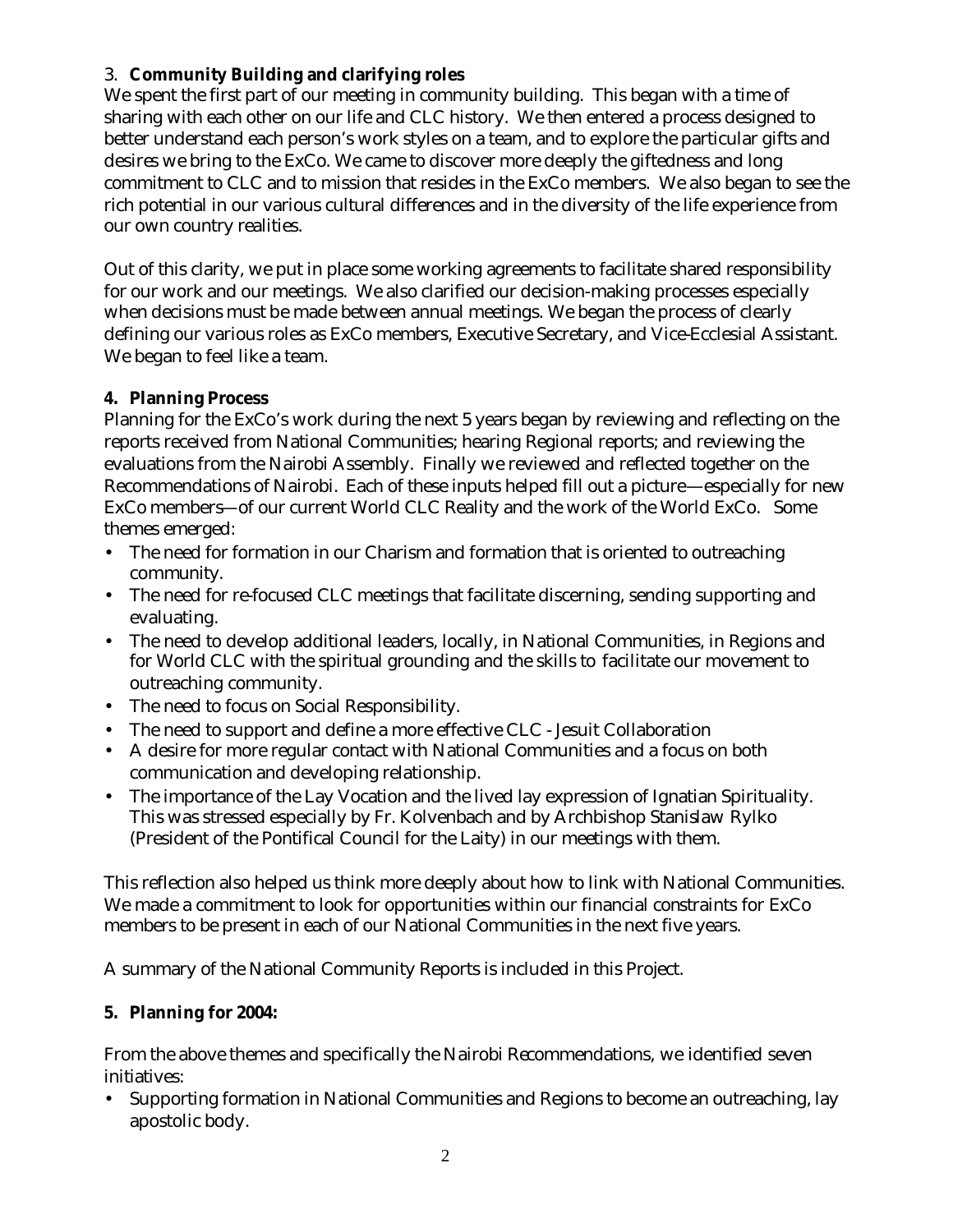# 3. **Community Building and clarifying roles**

We spent the first part of our meeting in community building. This began with a time of sharing with each other on our life and CLC history. We then entered a process designed to better understand each person's work styles on a team, and to explore the particular gifts and desires we bring to the ExCo. We came to discover more deeply the giftedness and long commitment to CLC and to mission that resides in the ExCo members. We also began to see the rich potential in our various cultural differences and in the diversity of the life experience from our own country realities.

Out of this clarity, we put in place some working agreements to facilitate shared responsibility for our work and our meetings. We also clarified our decision-making processes especially when decisions must be made between annual meetings. We began the process of clearly defining our various roles as ExCo members, Executive Secretary, and Vice-Ecclesial Assistant. We began to feel like a team.

## **4. Planning Process**

Planning for the ExCo's work during the next 5 years began by reviewing and reflecting on the reports received from National Communities; hearing Regional reports; and reviewing the evaluations from the Nairobi Assembly. Finally we reviewed and reflected together on the Recommendations of Nairobi. Each of these inputs helped fill out a picture—especially for new ExCo members—of our current World CLC Reality and the work of the World ExCo. Some themes emerged:

- The need for formation in our Charism and formation that is oriented to outreaching community.
- The need for re-focused CLC meetings that facilitate discerning, sending supporting and evaluating.
- The need to develop additional leaders, locally, in National Communities, in Regions and for World CLC with the spiritual grounding and the skills to facilitate our movement to outreaching community.
- The need to focus on Social Responsibility.
- The need to support and define a more effective CLC Jesuit Collaboration
- A desire for more regular contact with National Communities and a focus on both communication and developing relationship.
- The importance of the Lay Vocation and the lived lay expression of Ignatian Spirituality. This was stressed especially by Fr. Kolvenbach and by Archbishop Stanislaw Rylko (President of the Pontifical Council for the Laity) in our meetings with them.

This reflection also helped us think more deeply about how to link with National Communities. We made a commitment to look for opportunities within our financial constraints for ExCo members to be present in each of our National Communities in the next five years.

A summary of the National Community Reports is included in this Project.

## **5. Planning for 2004:**

From the above themes and specifically the Nairobi Recommendations, we identified seven initiatives:

• Supporting formation in National Communities and Regions to become an outreaching, lay apostolic body.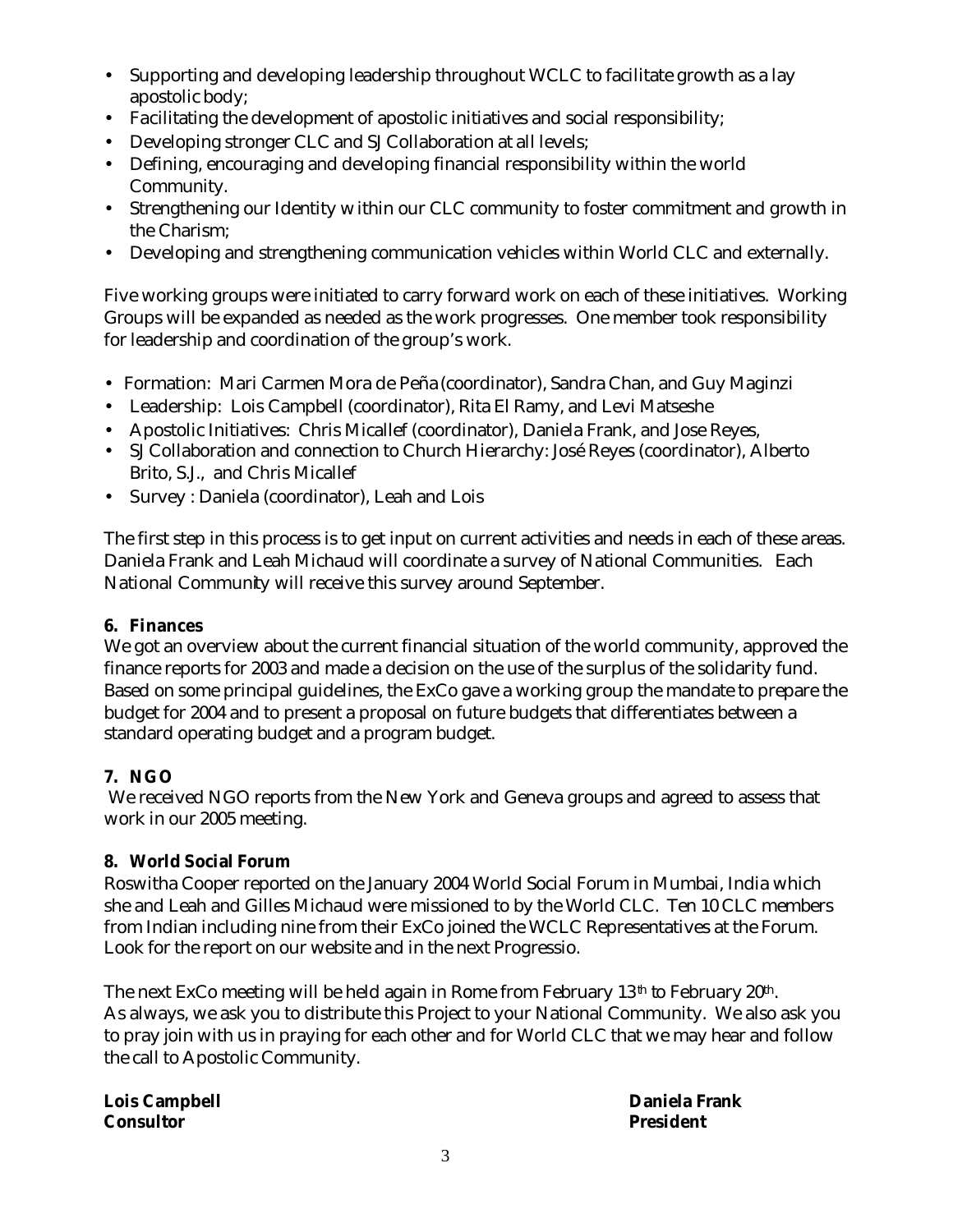- Supporting and developing leadership throughout WCLC to facilitate growth as a lay apostolic body;
- Facilitating the development of apostolic initiatives and social responsibility;
- Developing stronger CLC and SJ Collaboration at all levels;
- Defining, encouraging and developing financial responsibility within the world Community.
- Strengthening our Identity within our CLC community to foster commitment and growth in the Charism;
- Developing and strengthening communication vehicles within World CLC and externally.

Five working groups were initiated to carry forward work on each of these initiatives. Working Groups will be expanded as needed as the work progresses. One member took responsibility for leadership and coordination of the group's work.

- Formation: Mari Carmen Mora de Peña (coordinator), Sandra Chan, and Guy Maginzi
- Leadership: Lois Campbell (coordinator), Rita El Ramy, and Levi Matseshe
- Apostolic Initiatives: Chris Micallef (coordinator), Daniela Frank, and Jose Reyes,
- SJ Collaboration and connection to Church Hierarchy: José Reyes (coordinator), Alberto Brito, S.J., and Chris Micallef
- Survey : Daniela (coordinator), Leah and Lois

The first step in this process is to get input on current activities and needs in each of these areas. Daniela Frank and Leah Michaud will coordinate a survey of National Communities. Each National Community will receive this survey around September.

## **6. Finances**

We got an overview about the current financial situation of the world community, approved the finance reports for 2003 and made a decision on the use of the surplus of the solidarity fund. Based on some principal guidelines, the ExCo gave a working group the mandate to prepare the budget for 2004 and to present a proposal on future budgets that differentiates between a standard operating budget and a program budget.

## **7. NGO**

 We received NGO reports from the New York and Geneva groups and agreed to assess that work in our 2005 meeting.

## **8. World Social Forum**

Roswitha Cooper reported on the January 2004 World Social Forum in Mumbai, India which she and Leah and Gilles Michaud were missioned to by the World CLC. Ten 10 CLC members from Indian including nine from their ExCo joined the WCLC Representatives at the Forum. Look for the report on our website and in the next Progressio.

The next ExCo meeting will be held again in Rome from February  $13<sup>th</sup>$  to February  $20<sup>th</sup>$ . As always, we ask you to distribute this Project to your National Community. We also ask you to pray join with us in praying for each other and for World CLC that we may hear and follow the call to Apostolic Community.

**Lois Campbell Daniela Frank Consultor President**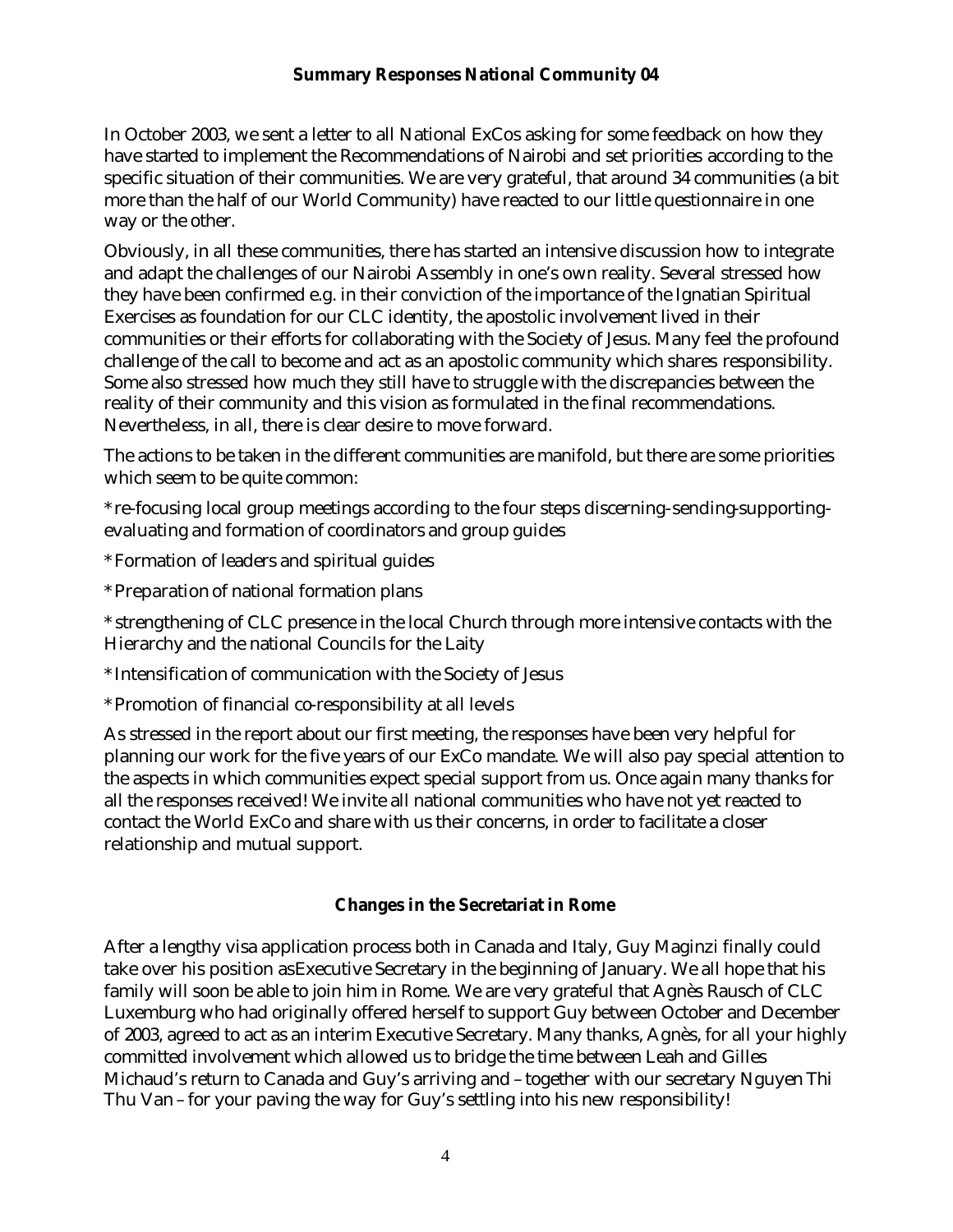#### **Summary Responses National Community 04**

In October 2003, we sent a letter to all National ExCos asking for some feedback on how they have started to implement the Recommendations of Nairobi and set priorities according to the specific situation of their communities. We are very grateful, that around 34 communities (a bit more than the half of our World Community) have reacted to our little questionnaire in one way or the other.

Obviously, in all these communities, there has started an intensive discussion how to integrate and adapt the challenges of our Nairobi Assembly in one's own reality. Several stressed how they have been confirmed e.g. in their conviction of the importance of the Ignatian Spiritual Exercises as foundation for our CLC identity, the apostolic involvement lived in their communities or their efforts for collaborating with the Society of Jesus. Many feel the profound challenge of the call to become and act as an apostolic community which shares responsibility. Some also stressed how much they still have to struggle with the discrepancies between the reality of their community and this vision as formulated in the final recommendations. Nevertheless, in all, there is clear desire to move forward.

The actions to be taken in the different communities are manifold, but there are some priorities which seem to be quite common:

\* re-focusing local group meetings according to the four steps discerning-sending-supportingevaluating and formation of coordinators and group guides

\* Formation of leaders and spiritual guides

\* Preparation of national formation plans

\* strengthening of CLC presence in the local Church through more intensive contacts with the Hierarchy and the national Councils for the Laity

\* Intensification of communication with the Society of Jesus

\* Promotion of financial co-responsibility at all levels

As stressed in the report about our first meeting, the responses have been very helpful for planning our work for the five years of our ExCo mandate. We will also pay special attention to the aspects in which communities expect special support from us. Once again many thanks for all the responses received! We invite all national communities who have not yet reacted to contact the World ExCo and share with us their concerns, in order to facilitate a closer relationship and mutual support.

## **Changes in the Secretariat in Rome**

After a lengthy visa application process both in Canada and Italy, Guy Maginzi finally could take over his position as Executive Secretary in the beginning of January. We all hope that his family will soon be able to join him in Rome. We are very grateful that Agnès Rausch of CLC Luxemburg who had originally offered herself to support Guy between October and December of 2003, agreed to act as an interim Executive Secretary. Many thanks, Agnès, for all your highly committed involvement which allowed us to bridge the time between Leah and Gilles Michaud's return to Canada and Guy's arriving and – together with our secretary Nguyen Thi Thu Van – for your paving the way for Guy's settling into his new responsibility!